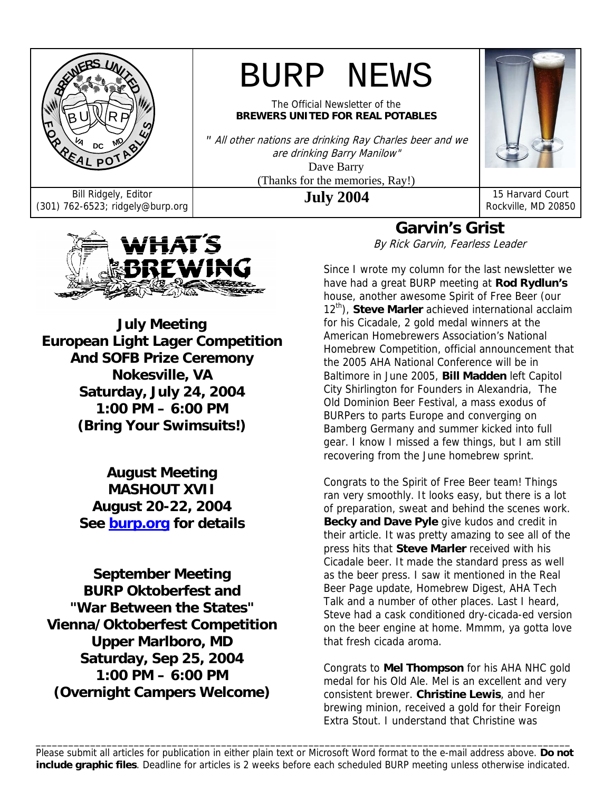

# BURP NEWS

The Official Newsletter of the **BREWERS UNITED FOR REAL POTABLES**

*"* All other nations are drinking Ray Charles beer and we are drinking Barry Manilow" Dave Barry (Thanks for the memories, Ray!)



Bill Ridgely, Editor **July 2004** 15 Harvard Court (301) 762-6523; ridgely@burp.org **16 Auly 2004** 15 Harvard Court Rockville, MD 20850



**July Meeting European Light Lager Competition And SOFB Prize Ceremony Nokesville, VA Saturday, July 24, 2004 1:00 PM – 6:00 PM (Bring Your Swimsuits!)**

> **August Meeting MASHOUT XVII August 20-22, 2004 See burp.org for details**

**September Meeting BURP Oktoberfest and "War Between the States" Vienna/Oktoberfest Competition Upper Marlboro, MD Saturday, Sep 25, 2004 1:00 PM – 6:00 PM (Overnight Campers Welcome)** 

**Garvin's Grist** 

By Rick Garvin, Fearless Leader

Since I wrote my column for the last newsletter we have had a great BURP meeting at **Rod Rydlun's** house, another awesome Spirit of Free Beer (our 12<sup>th</sup>), **Steve Marler** achieved international acclaim for his Cicadale, 2 gold medal winners at the American Homebrewers Association's National Homebrew Competition, official announcement that the 2005 AHA National Conference will be in Baltimore in June 2005, **Bill Madden** left Capitol City Shirlington for Founders in Alexandria, The Old Dominion Beer Festival, a mass exodus of BURPers to parts Europe and converging on Bamberg Germany and summer kicked into full gear. I know I missed a few things, but I am still recovering from the June homebrew sprint.

Congrats to the Spirit of Free Beer team! Things ran very smoothly. It looks easy, but there is a lot of preparation, sweat and behind the scenes work. **Becky and Dave Pyle** give kudos and credit in their article. It was pretty amazing to see all of the press hits that **Steve Marler** received with his Cicadale beer. It made the standard press as well as the beer press. I saw it mentioned in the Real Beer Page update, Homebrew Digest, AHA Tech Talk and a number of other places. Last I heard, Steve had a cask conditioned dry-cicada-ed version on the beer engine at home. Mmmm, ya gotta love that fresh cicada aroma.

Congrats to **Mel Thompson** for his AHA NHC gold medal for his Old Ale. Mel is an excellent and very consistent brewer. **Christine Lewis**, and her brewing minion, received a gold for their Foreign Extra Stout. I understand that Christine was

\_\_\_\_\_\_\_\_\_\_\_\_\_\_\_\_\_\_\_\_\_\_\_\_\_\_\_\_\_\_\_\_\_\_\_\_\_\_\_\_\_\_\_\_\_\_\_\_\_\_\_\_\_\_\_\_\_\_\_\_\_\_\_\_\_\_\_\_\_\_\_\_\_\_\_\_\_\_\_\_\_\_\_\_\_\_\_\_\_\_\_\_\_\_\_\_\_\_ Please submit all articles for publication in either plain text or Microsoft Word format to the e-mail address above. **Do not include graphic files**. Deadline for articles is 2 weeks before each scheduled BURP meeting unless otherwise indicated.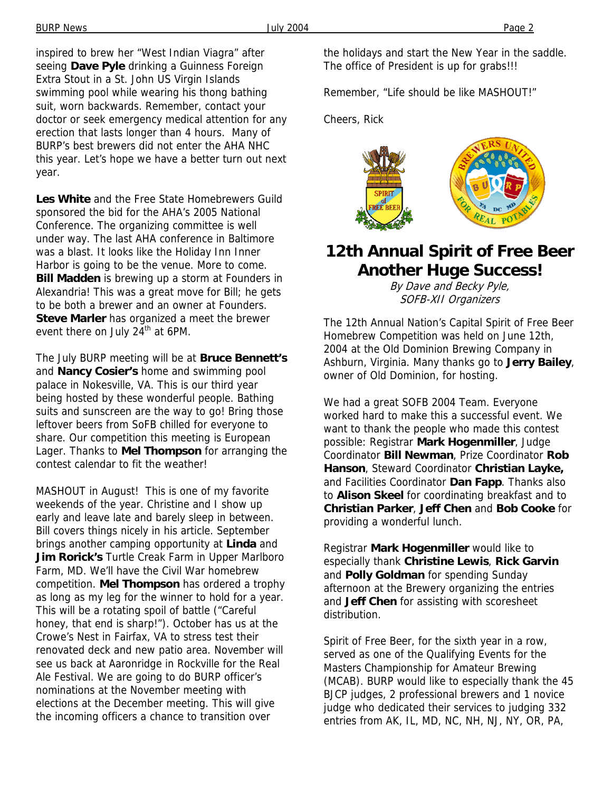inspired to brew her "West Indian Viagra" after seeing **Dave Pyle** drinking a Guinness Foreign Extra Stout in a St. John US Virgin Islands swimming pool while wearing his thong bathing suit, worn backwards. Remember, contact your doctor or seek emergency medical attention for any erection that lasts longer than 4 hours. Many of BURP's best brewers did not enter the AHA NHC this year. Let's hope we have a better turn out next year.

**Les White** and the Free State Homebrewers Guild sponsored the bid for the AHA's 2005 National Conference. The organizing committee is well under way. The last AHA conference in Baltimore was a blast. It looks like the Holiday Inn Inner Harbor is going to be the venue. More to come. **Bill Madden** is brewing up a storm at Founders in Alexandria! This was a great move for Bill; he gets to be both a brewer and an owner at Founders. **Steve Marler** has organized a meet the brewer event there on July  $24<sup>th</sup>$  at 6PM.

The July BURP meeting will be at **Bruce Bennett's** and **Nancy Cosier's** home and swimming pool palace in Nokesville, VA. This is our third year being hosted by these wonderful people. Bathing suits and sunscreen are the way to go! Bring those leftover beers from SoFB chilled for everyone to share. Our competition this meeting is European Lager. Thanks to **Mel Thompson** for arranging the contest calendar to fit the weather!

MASHOUT in August! This is one of my favorite weekends of the year. Christine and I show up early and leave late and barely sleep in between. Bill covers things nicely in his article. September brings another camping opportunity at **Linda** and **Jim Rorick's** Turtle Creak Farm in Upper Marlboro Farm, MD. We'll have the Civil War homebrew competition. **Mel Thompson** has ordered a trophy as long as my leg for the winner to hold for a year. This will be a rotating spoil of battle ("Careful honey, that end is sharp!"). October has us at the Crowe's Nest in Fairfax, VA to stress test their renovated deck and new patio area. November will see us back at Aaronridge in Rockville for the Real Ale Festival. We are going to do BURP officer's nominations at the November meeting with elections at the December meeting. This will give the incoming officers a chance to transition over

the holidays and start the New Year in the saddle. The office of President is up for grabs!!!

Remember, "Life should be like MASHOUT!"

Cheers, Rick



# **12th Annual Spirit of Free Beer Another Huge Success!**

By Dave and Becky Pyle, SOFB-XII Organizers

The 12th Annual Nation's Capital Spirit of Free Beer Homebrew Competition was held on June 12th, 2004 at the Old Dominion Brewing Company in Ashburn, Virginia. Many thanks go to **Jerry Bailey**, owner of Old Dominion, for hosting.

We had a great SOFB 2004 Team. Everyone worked hard to make this a successful event. We want to thank the people who made this contest possible: Registrar **Mark Hogenmiller**, Judge Coordinator **Bill Newman**, Prize Coordinator **Rob Hanson**, Steward Coordinator **Christian Layke,** and Facilities Coordinator **Dan Fapp**. Thanks also to **Alison Skeel** for coordinating breakfast and to **Christian Parker**, **Jeff Chen** and **Bob Cooke** for providing a wonderful lunch.

Registrar **Mark Hogenmiller** would like to especially thank **Christine Lewis**, **Rick Garvin** and **Polly Goldman** for spending Sunday afternoon at the Brewery organizing the entries and **Jeff Chen** for assisting with scoresheet distribution.

Spirit of Free Beer, for the sixth year in a row, served as one of the Qualifying Events for the Masters Championship for Amateur Brewing (MCAB). BURP would like to especially thank the 45 BJCP judges, 2 professional brewers and 1 novice judge who dedicated their services to judging 332 entries from AK, IL, MD, NC, NH, NJ, NY, OR, PA,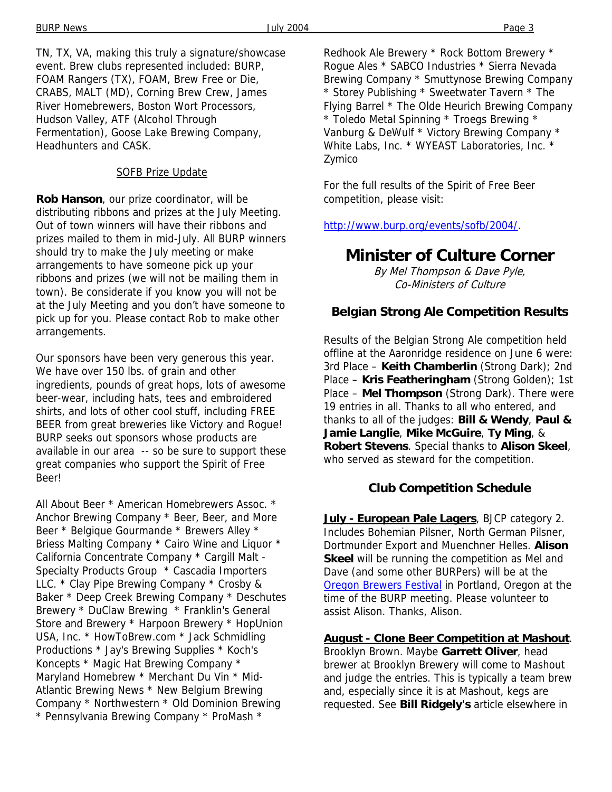TN, TX, VA, making this truly a signature/showcase event. Brew clubs represented included: BURP, FOAM Rangers (TX), FOAM, Brew Free or Die, CRABS, MALT (MD), Corning Brew Crew, James River Homebrewers, Boston Wort Processors, Hudson Valley, ATF (Alcohol Through Fermentation), Goose Lake Brewing Company, Headhunters and CASK.

### SOFB Prize Update

**Rob Hanson**, our prize coordinator, will be distributing ribbons and prizes at the July Meeting. Out of town winners will have their ribbons and prizes mailed to them in mid-July. All BURP winners should try to make the July meeting or make arrangements to have someone pick up your ribbons and prizes (we will not be mailing them in town). Be considerate if you know you will not be at the July Meeting and you don't have someone to pick up for you. Please contact Rob to make other arrangements.

Our sponsors have been very generous this year. We have over 150 lbs. of grain and other ingredients, pounds of great hops, lots of awesome beer-wear, including hats, tees and embroidered shirts, and lots of other cool stuff, including FREE BEER from great breweries like Victory and Rogue! BURP seeks out sponsors whose products are available in our area -- so be sure to support these great companies who support the Spirit of Free Beer!

All About Beer \* American Homebrewers Assoc. \* Anchor Brewing Company \* Beer, Beer, and More Beer \* Belgique Gourmande \* Brewers Alley \* Briess Malting Company \* Cairo Wine and Liquor \* California Concentrate Company \* Cargill Malt - Specialty Products Group \* Cascadia Importers LLC. \* Clay Pipe Brewing Company \* Crosby & Baker \* Deep Creek Brewing Company \* Deschutes Brewery \* DuClaw Brewing \* Franklin's General Store and Brewery \* Harpoon Brewery \* HopUnion USA, Inc. \* HowToBrew.com \* Jack Schmidling Productions \* Jay's Brewing Supplies \* Koch's Koncepts \* Magic Hat Brewing Company \* Maryland Homebrew \* Merchant Du Vin \* Mid-Atlantic Brewing News \* New Belgium Brewing Company \* Northwestern \* Old Dominion Brewing \* Pennsylvania Brewing Company \* ProMash \*

Redhook Ale Brewery \* Rock Bottom Brewery \* Rogue Ales \* SABCO Industries \* Sierra Nevada Brewing Company \* Smuttynose Brewing Company \* Storey Publishing \* Sweetwater Tavern \* The Flying Barrel \* The Olde Heurich Brewing Company \* Toledo Metal Spinning \* Troegs Brewing \* Vanburg & DeWulf \* Victory Brewing Company \* White Labs, Inc. \* WYEAST Laboratories, Inc. \* Zymico

For the full results of the Spirit of Free Beer competition, please visit:

http://www.burp.org/events/sofb/2004/.

# **Minister of Culture Corner**

By Mel Thompson & Dave Pyle, Co-Ministers of Culture

### **Belgian Strong Ale Competition Results**

Results of the Belgian Strong Ale competition held offline at the Aaronridge residence on June 6 were: 3rd Place – **Keith Chamberlin** (Strong Dark); 2nd Place – **Kris Featheringham** (Strong Golden); 1st Place – **Mel Thompson** (Strong Dark). There were 19 entries in all. Thanks to all who entered, and thanks to all of the judges: **Bill & Wendy**, **Paul & Jamie Langlie**, **Mike McGuire**, **Ty Ming**, & **Robert Stevens**. Special thanks to **Alison Skeel**, who served as steward for the competition.

### **Club Competition Schedule**

**July - European Pale Lagers**, BJCP category 2. Includes Bohemian Pilsner, North German Pilsner, Dortmunder Export and Muenchner Helles. **Alison Skeel** will be running the competition as Mel and Dave (and some other BURPers) will be at the Oregon Brewers Festival in Portland, Oregon at the time of the BURP meeting. Please volunteer to assist Alison. Thanks, Alison.

### **August - Clone Beer Competition at Mashout**.

Brooklyn Brown. Maybe **Garrett Oliver**, head brewer at Brooklyn Brewery will come to Mashout and judge the entries. This is typically a team brew and, especially since it is at Mashout, kegs are requested. See **Bill Ridgely's** article elsewhere in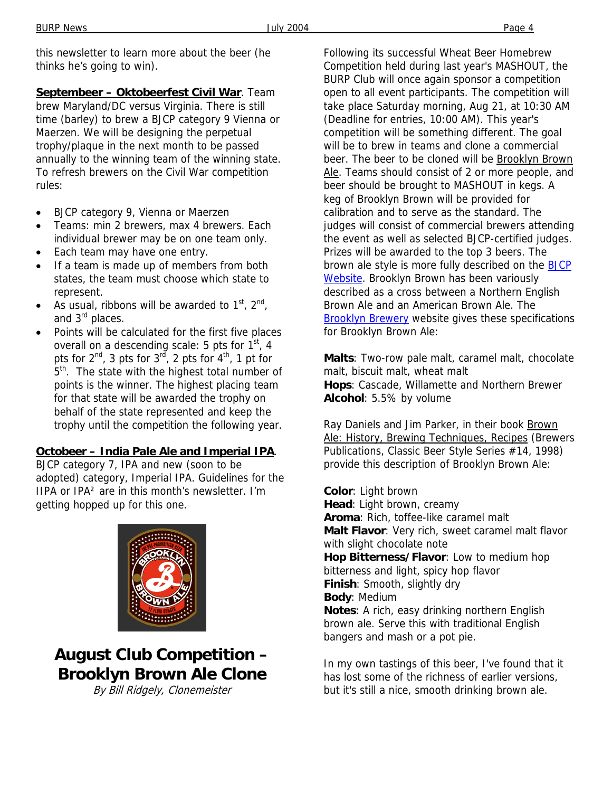this newsletter to learn more about the beer (he thinks he's going to win).

**Septembeer – Oktobeerfest Civil War**. Team brew Maryland/DC versus Virginia. There is still time (barley) to brew a BJCP category 9 Vienna or Maerzen. We will be designing the perpetual trophy/plaque in the next month to be passed annually to the winning team of the winning state. To refresh brewers on the Civil War competition rules:

- BJCP category 9, Vienna or Maerzen
- Teams: min 2 brewers, max 4 brewers. Each individual brewer may be on one team only.
- Each team may have one entry.
- If a team is made up of members from both states, the team must choose which state to represent.
- As usual, ribbons will be awarded to  $1<sup>st</sup>$ ,  $2<sup>nd</sup>$ , and 3<sup>rd</sup> places.
- Points will be calculated for the first five places overall on a descending scale: 5 pts for  $1<sup>st</sup>$ , 4 pts for  $2^{nd}$ , 3 pts for  $3^{rd}$ , 2 pts for  $4^{th}$ , 1 pt for 5<sup>th</sup>. The state with the highest total number of points is the winner. The highest placing team for that state will be awarded the trophy on behalf of the state represented and keep the trophy until the competition the following year.

### **Octobeer – India Pale Ale and Imperial IPA**.

BJCP category 7, IPA and new (soon to be adopted) category, Imperial IPA. Guidelines for the IIPA or IPA² are in this month's newsletter. I'm getting hopped up for this one.



# **August Club Competition – Brooklyn Brown Ale Clone**

By Bill Ridgely, Clonemeister

Following its successful Wheat Beer Homebrew Competition held during last year's MASHOUT, the BURP Club will once again sponsor a competition open to all event participants. The competition will take place Saturday morning, Aug 21, at 10:30 AM (Deadline for entries, 10:00 AM). This year's competition will be something different. The goal will be to brew in teams and clone a commercial beer. The beer to be cloned will be Brooklyn Brown Ale. Teams should consist of 2 or more people, and beer should be brought to MASHOUT in kegs. A keg of Brooklyn Brown will be provided for calibration and to serve as the standard. The judges will consist of commercial brewers attending the event as well as selected BJCP-certified judges. Prizes will be awarded to the top 3 beers. The brown ale style is more fully described on the BJCP Website. Brooklyn Brown has been variously described as a cross between a Northern English Brown Ale and an American Brown Ale. The **Brooklyn Brewery** website gives these specifications for Brooklyn Brown Ale:

**Malts**: Two-row pale malt, caramel malt, chocolate malt, biscuit malt, wheat malt **Hops**: Cascade, Willamette and Northern Brewer **Alcohol**: 5.5% by volume

Ray Daniels and Jim Parker, in their book Brown Ale: History, Brewing Techniques, Recipes (Brewers Publications, Classic Beer Style Series #14, 1998) provide this description of Brooklyn Brown Ale:

**Color**: Light brown **Head**: Light brown, creamy **Aroma**: Rich, toffee-like caramel malt **Malt Flavor**: Very rich, sweet caramel malt flavor with slight chocolate note **Hop Bitterness/Flavor**: Low to medium hop bitterness and light, spicy hop flavor **Finish**: Smooth, slightly dry **Body**: Medium **Notes**: A rich, easy drinking northern English brown ale. Serve this with traditional English bangers and mash or a pot pie.

In my own tastings of this beer, I've found that it has lost some of the richness of earlier versions, but it's still a nice, smooth drinking brown ale.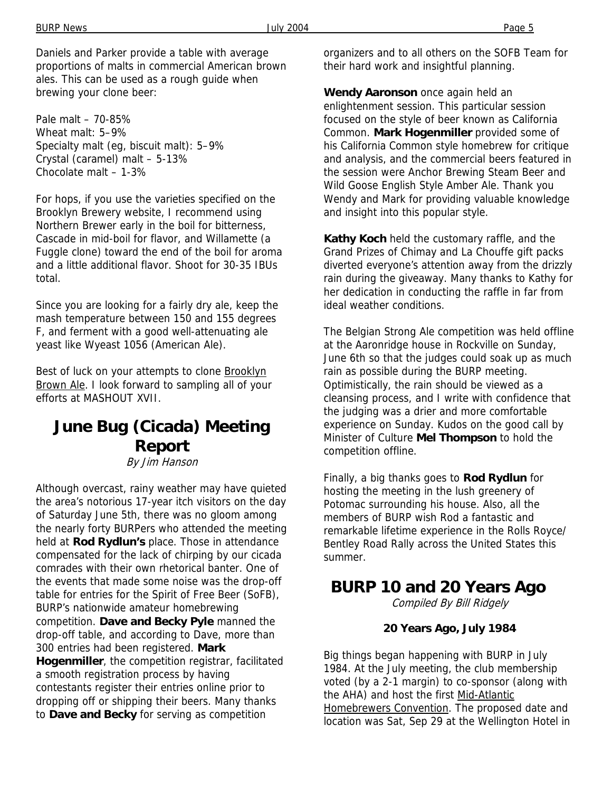Daniels and Parker provide a table with average proportions of malts in commercial American brown ales. This can be used as a rough guide when brewing your clone beer:

Pale malt – 70-85% Wheat malt: 5–9% Specialty malt (eg, biscuit malt): 5–9% Crystal (caramel) malt – 5-13% Chocolate malt – 1-3%

For hops, if you use the varieties specified on the Brooklyn Brewery website, I recommend using Northern Brewer early in the boil for bitterness, Cascade in mid-boil for flavor, and Willamette (a Fuggle clone) toward the end of the boil for aroma and a little additional flavor. Shoot for 30-35 IBUs total.

Since you are looking for a fairly dry ale, keep the mash temperature between 150 and 155 degrees F, and ferment with a good well-attenuating ale yeast like Wyeast 1056 (American Ale).

Best of luck on your attempts to clone **Brooklyn** Brown Ale. I look forward to sampling all of your efforts at MASHOUT XVII.

# **June Bug (Cicada) Meeting Report**

By Jim Hanson

Although overcast, rainy weather may have quieted the area's notorious 17-year itch visitors on the day of Saturday June 5th, there was no gloom among the nearly forty BURPers who attended the meeting held at **Rod Rydlun's** place. Those in attendance compensated for the lack of chirping by our cicada comrades with their own rhetorical banter. One of the events that made some noise was the drop-off table for entries for the Spirit of Free Beer (SoFB), BURP's nationwide amateur homebrewing competition. **Dave and Becky Pyle** manned the drop-off table, and according to Dave, more than 300 entries had been registered. **Mark Hogenmiller**, the competition registrar, facilitated a smooth registration process by having contestants register their entries online prior to dropping off or shipping their beers. Many thanks to **Dave and Becky** for serving as competition

organizers and to all others on the SOFB Team for their hard work and insightful planning.

**Wendy Aaronson** once again held an enlightenment session. This particular session focused on the style of beer known as California Common. **Mark Hogenmiller** provided some of his California Common style homebrew for critique and analysis, and the commercial beers featured in the session were Anchor Brewing Steam Beer and Wild Goose English Style Amber Ale. Thank you Wendy and Mark for providing valuable knowledge and insight into this popular style.

**Kathy Koch** held the customary raffle, and the Grand Prizes of Chimay and La Chouffe gift packs diverted everyone's attention away from the drizzly rain during the giveaway. Many thanks to Kathy for her dedication in conducting the raffle in far from ideal weather conditions.

The Belgian Strong Ale competition was held offline at the Aaronridge house in Rockville on Sunday, June 6th so that the judges could soak up as much rain as possible during the BURP meeting. Optimistically, the rain should be viewed as a cleansing process, and I write with confidence that the judging was a drier and more comfortable experience on Sunday. Kudos on the good call by Minister of Culture **Mel Thompson** to hold the competition offline.

Finally, a big thanks goes to **Rod Rydlun** for hosting the meeting in the lush greenery of Potomac surrounding his house. Also, all the members of BURP wish Rod a fantastic and remarkable lifetime experience in the Rolls Royce/ Bentley Road Rally across the United States this summer.

# **BURP 10 and 20 Years Ago**

Compiled By Bill Ridgely

### **20 Years Ago, July 1984**

Big things began happening with BURP in July 1984. At the July meeting, the club membership voted (by a 2-1 margin) to co-sponsor (along with the AHA) and host the first Mid-Atlantic Homebrewers Convention. The proposed date and location was Sat, Sep 29 at the Wellington Hotel in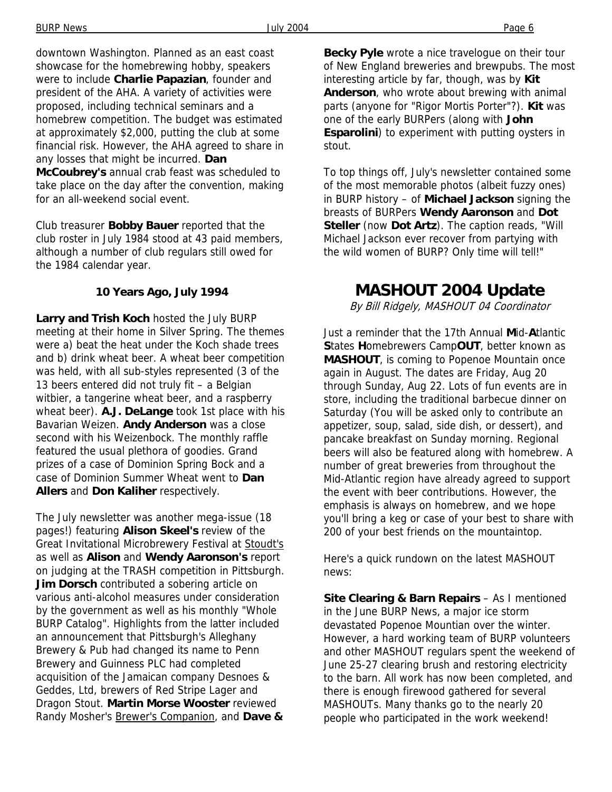downtown Washington. Planned as an east coast showcase for the homebrewing hobby, speakers were to include **Charlie Papazian**, founder and president of the AHA. A variety of activities were proposed, including technical seminars and a homebrew competition. The budget was estimated at approximately \$2,000, putting the club at some financial risk. However, the AHA agreed to share in any losses that might be incurred. **Dan McCoubrey's** annual crab feast was scheduled to take place on the day after the convention, making for an all-weekend social event.

Club treasurer **Bobby Bauer** reported that the club roster in July 1984 stood at 43 paid members, although a number of club regulars still owed for the 1984 calendar year.

### **10 Years Ago, July 1994**

**Larry and Trish Koch** hosted the July BURP meeting at their home in Silver Spring. The themes were a) beat the heat under the Koch shade trees and b) drink wheat beer. A wheat beer competition was held, with all sub-styles represented (3 of the 13 beers entered did not truly fit – a Belgian witbier, a tangerine wheat beer, and a raspberry wheat beer). **A.J. DeLange** took 1st place with his Bavarian Weizen. **Andy Anderson** was a close second with his Weizenbock. The monthly raffle featured the usual plethora of goodies. Grand prizes of a case of Dominion Spring Bock and a case of Dominion Summer Wheat went to **Dan Allers** and **Don Kaliher** respectively.

The July newsletter was another mega-issue (18 pages!) featuring **Alison Skeel's** review of the Great Invitational Microbrewery Festival at Stoudt's as well as **Alison** and **Wendy Aaronson's** report on judging at the TRASH competition in Pittsburgh. **Jim Dorsch** contributed a sobering article on various anti-alcohol measures under consideration by the government as well as his monthly "Whole BURP Catalog". Highlights from the latter included an announcement that Pittsburgh's Alleghany Brewery & Pub had changed its name to Penn Brewery and Guinness PLC had completed acquisition of the Jamaican company Desnoes & Geddes, Ltd, brewers of Red Stripe Lager and Dragon Stout. **Martin Morse Wooster** reviewed Randy Mosher's Brewer's Companion, and **Dave &** 

**Becky Pyle** wrote a nice travelogue on their tour of New England breweries and brewpubs. The most interesting article by far, though, was by **Kit Anderson**, who wrote about brewing with animal parts (anyone for "Rigor Mortis Porter"?). **Kit** was one of the early BURPers (along with **John Esparolini**) to experiment with putting oysters in stout.

To top things off, July's newsletter contained some of the most memorable photos (albeit fuzzy ones) in BURP history – of **Michael Jackson** signing the breasts of BURPers **Wendy Aaronson** and **Dot Steller** (now **Dot Artz**). The caption reads, "Will Michael Jackson ever recover from partying with the wild women of BURP? Only time will tell!"

## **MASHOUT 2004 Update**

By Bill Ridgely, MASHOUT 04 Coordinator

Just a reminder that the 17th Annual **M**id-**A**tlantic **S**tates **H**omebrewers Camp**OUT**, better known as **MASHOUT**, is coming to Popenoe Mountain once again in August. The dates are Friday, Aug 20 through Sunday, Aug 22. Lots of fun events are in store, including the traditional barbecue dinner on Saturday (You will be asked only to contribute an appetizer, soup, salad, side dish, or dessert), and pancake breakfast on Sunday morning. Regional beers will also be featured along with homebrew. A number of great breweries from throughout the Mid-Atlantic region have already agreed to support the event with beer contributions. However, the emphasis is always on homebrew, and we hope you'll bring a keg or case of your best to share with 200 of your best friends on the mountaintop.

Here's a quick rundown on the latest MASHOUT news:

**Site Clearing & Barn Repairs** – As I mentioned in the June BURP News, a major ice storm devastated Popenoe Mountian over the winter. However, a hard working team of BURP volunteers and other MASHOUT regulars spent the weekend of June 25-27 clearing brush and restoring electricity to the barn. All work has now been completed, and there is enough firewood gathered for several MASHOUTs. Many thanks go to the nearly 20 people who participated in the work weekend!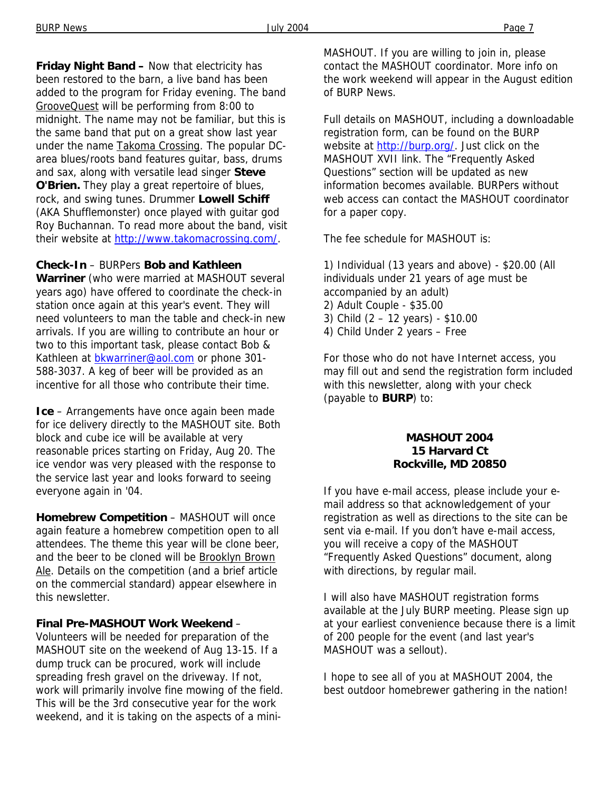**Friday Night Band –** Now that electricity has been restored to the barn, a live band has been added to the program for Friday evening. The band GrooveQuest will be performing from 8:00 to midnight. The name may not be familiar, but this is the same band that put on a great show last year under the name Takoma Crossing. The popular DCarea blues/roots band features guitar, bass, drums and sax, along with versatile lead singer **Steve O'Brien.** They play a great repertoire of blues, rock, and swing tunes. Drummer **Lowell Schiff** (AKA Shufflemonster) once played with guitar god Roy Buchannan. To read more about the band, visit their website at http://www.takomacrossing.com/.

### **Check-In** – BURPers **Bob and Kathleen**

**Warriner** (who were married at MASHOUT several years ago) have offered to coordinate the check-in station once again at this year's event. They will need volunteers to man the table and check-in new arrivals. If you are willing to contribute an hour or two to this important task, please contact Bob & Kathleen at bkwarriner@aol.com or phone 301- 588-3037. A keg of beer will be provided as an incentive for all those who contribute their time.

**Ice** – Arrangements have once again been made for ice delivery directly to the MASHOUT site. Both block and cube ice will be available at very reasonable prices starting on Friday, Aug 20. The ice vendor was very pleased with the response to the service last year and looks forward to seeing everyone again in '04.

**Homebrew Competition** – MASHOUT will once again feature a homebrew competition open to all attendees. The theme this year will be clone beer, and the beer to be cloned will be Brooklyn Brown Ale. Details on the competition (and a brief article on the commercial standard) appear elsewhere in this newsletter.

**Final Pre-MASHOUT Work Weekend** –

Volunteers will be needed for preparation of the MASHOUT site on the weekend of Aug 13-15. If a dump truck can be procured, work will include spreading fresh gravel on the driveway. If not, work will primarily involve fine mowing of the field. This will be the 3rd consecutive year for the work weekend, and it is taking on the aspects of a miniMASHOUT. If you are willing to join in, please contact the MASHOUT coordinator. More info on the work weekend will appear in the August edition of BURP News.

Full details on MASHOUT, including a downloadable registration form, can be found on the BURP website at http://burp.org/. Just click on the MASHOUT XVII link. The "Frequently Asked Questions" section will be updated as new information becomes available. BURPers without web access can contact the MASHOUT coordinator for a paper copy.

The fee schedule for MASHOUT is:

1) Individual (13 years and above) - \$20.00 (All individuals under 21 years of age must be accompanied by an adult) 2) Adult Couple - \$35.00 3) Child (2 – 12 years) - \$10.00 4) Child Under 2 years – Free

For those who do not have Internet access, you may fill out and send the registration form included with this newsletter, along with your check (payable to **BURP**) to:

#### **MASHOUT 2004 15 Harvard Ct Rockville, MD 20850**

If you have e-mail access, please include your email address so that acknowledgement of your registration as well as directions to the site can be sent via e-mail. If you don't have e-mail access, you will receive a copy of the MASHOUT "Frequently Asked Questions" document, along with directions, by regular mail.

I will also have MASHOUT registration forms available at the July BURP meeting. Please sign up at your earliest convenience because there is a limit of 200 people for the event (and last year's MASHOUT was a sellout).

I hope to see all of you at MASHOUT 2004, the best outdoor homebrewer gathering in the nation!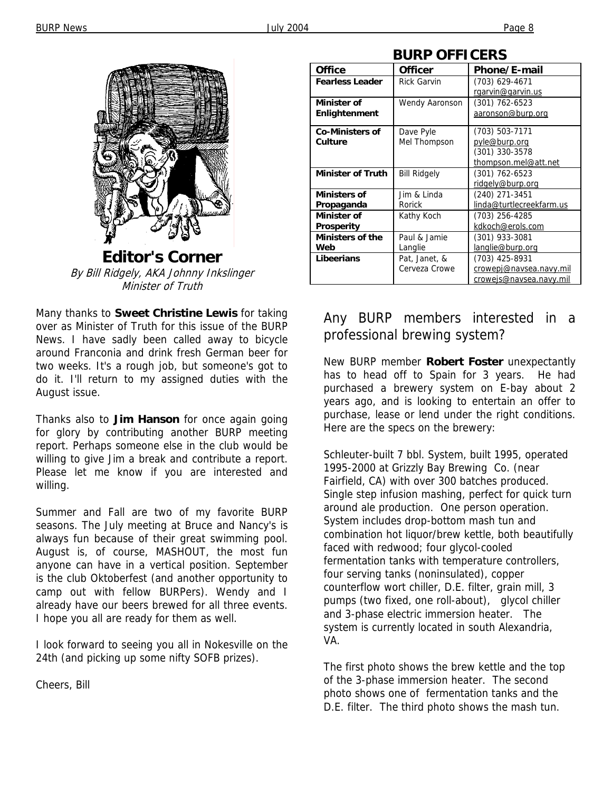

**Editor's Corner**  By Bill Ridgely, AKA Johnny Inkslinger Minister of Truth

Many thanks to **Sweet Christine Lewis** for taking over as Minister of Truth for this issue of the BURP News. I have sadly been called away to bicycle around Franconia and drink fresh German beer for two weeks. It's a rough job, but someone's got to do it. I'll return to my assigned duties with the August issue.

Thanks also to **Jim Hanson** for once again going for glory by contributing another BURP meeting report. Perhaps someone else in the club would be willing to give Jim a break and contribute a report. Please let me know if you are interested and willing.

Summer and Fall are two of my favorite BURP seasons. The July meeting at Bruce and Nancy's is always fun because of their great swimming pool. August is, of course, MASHOUT, the most fun anyone can have in a vertical position. September is the club Oktoberfest (and another opportunity to camp out with fellow BURPers). Wendy and I already have our beers brewed for all three events. I hope you all are ready for them as well.

I look forward to seeing you all in Nokesville on the 24th (and picking up some nifty SOFB prizes).

Cheers, Bill

| DURF UFFILERJ            |                     |                          |
|--------------------------|---------------------|--------------------------|
| <b>Office</b>            | <b>Officer</b>      | Phone/E-mail             |
| <b>Fearless Leader</b>   | <b>Rick Garvin</b>  | (703) 629-4671           |
|                          |                     | rgarvin@garvin.us        |
| Minister of              | Wendy Aaronson      | $(301)$ 762-6523         |
| Enlightenment            |                     | aaronson@burp.org        |
| <b>Co-Ministers of</b>   | Dave Pyle           | (703) 503-7171           |
| Culture                  | Mel Thompson        | pyle@burp.org            |
|                          |                     | (301) 330-3578           |
|                          |                     | thompson.mel@att.net     |
| <b>Minister of Truth</b> | <b>Bill Ridgely</b> | (301) 762-6523           |
|                          |                     | ridgely@burp.org         |
| <b>Ministers of</b>      | Jim & Linda         | (240) 271-3451           |
| Propaganda               | Rorick              | linda@turtlecreekfarm.us |
| Minister of              | Kathy Koch          | (703) 256-4285           |
| Prosperity               |                     | kdkoch@erols.com         |
| <b>Ministers of the</b>  | Paul & Jamie        | (301) 933-3081           |
| Web                      | Langlie             | langlie@burp.org         |
| Libeerians               | Pat, Janet, &       | (703) 425-8931           |
|                          | Cerveza Crowe       | crowepj@navsea.navy.mil  |
|                          |                     | crowejs@navsea.navy.mil  |

### **BURP OFFICERS**

### Any BURP members interested in a professional brewing system?

New BURP member **Robert Foster** unexpectantly has to head off to Spain for 3 years. He had purchased a brewery system on E-bay about 2 years ago, and is looking to entertain an offer to purchase, lease or lend under the right conditions. Here are the specs on the brewery:

Schleuter-built 7 bbl. System, built 1995, operated 1995-2000 at Grizzly Bay Brewing Co. (near Fairfield, CA) with over 300 batches produced. Single step infusion mashing, perfect for quick turn around ale production. One person operation. System includes drop-bottom mash tun and combination hot liquor/brew kettle, both beautifully faced with redwood; four glycol-cooled fermentation tanks with temperature controllers, four serving tanks (noninsulated), copper counterflow wort chiller, D.E. filter, grain mill, 3 pumps (two fixed, one roll-about), glycol chiller and 3-phase electric immersion heater. The system is currently located in south Alexandria, VA.

The first photo shows the brew kettle and the top of the 3-phase immersion heater. The second photo shows one of fermentation tanks and the D.E. filter. The third photo shows the mash tun.